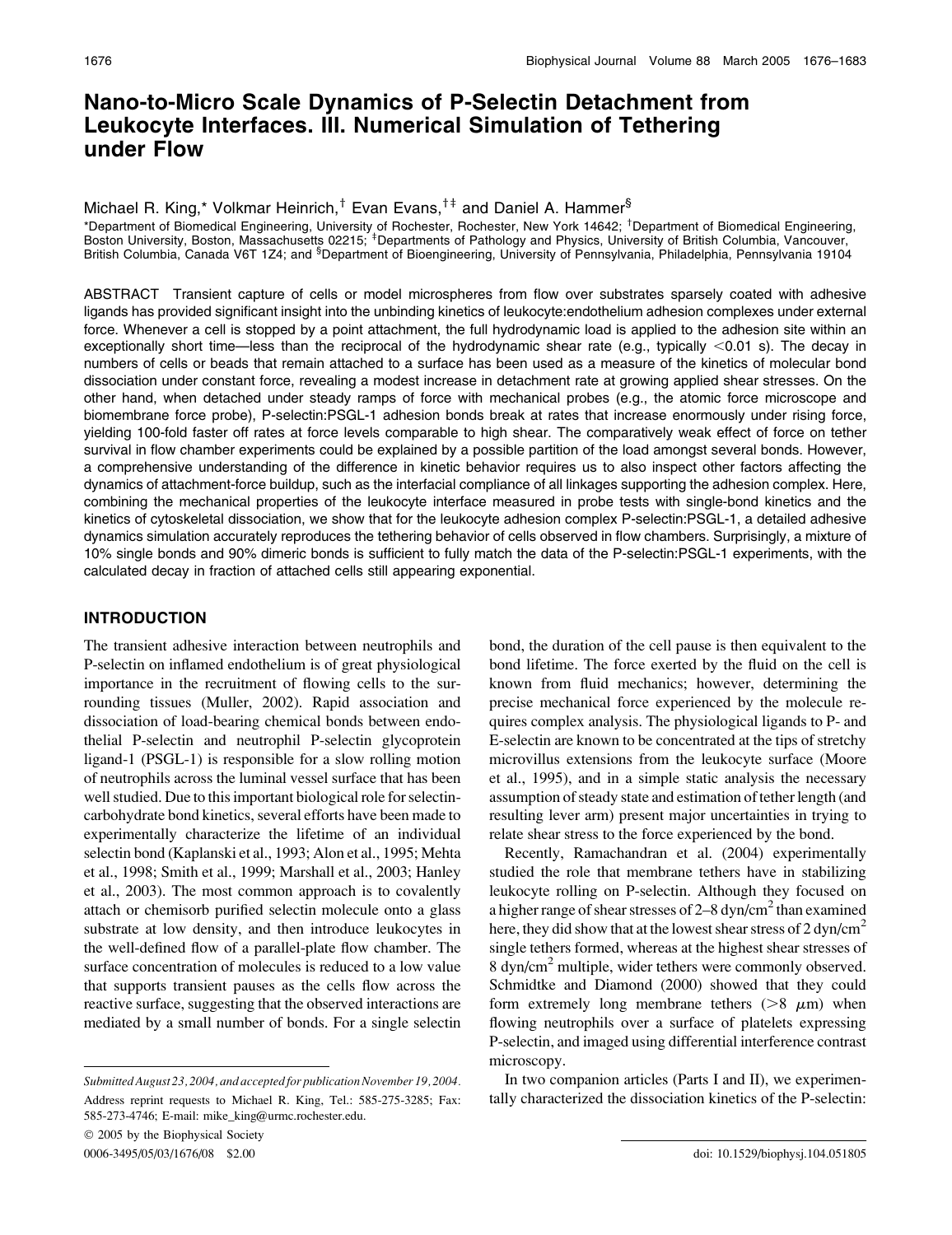# Nano-to-Micro Scale Dynamics of P-Selectin Detachment from Leukocyte Interfaces. III. Numerical Simulation of Tethering under Flow

Michael R. King,\* Volkmar Heinrich, $\dagger$  Evan Evans, $\dagger$ # and Daniel A. Hammer<sup>§</sup>

\*Department of Biomedical Engineering, University of Rochester, Rochester, New York 14642; <sup>†</sup>Department of Biomedical Engineering, Boston University, Boston, Massachusetts 02215; <sup>‡</sup>Departments of Pathology and Physics, University of British Columbia, Vancouver, British Columbia, Canada V6T 1Z4; and <sup>§</sup>Department of Bioengineering, University of Pennsylvania, Philadelphia, Pennsylvania 19104

ABSTRACT Transient capture of cells or model microspheres from flow over substrates sparsely coated with adhesive ligands has provided significant insight into the unbinding kinetics of leukocyte:endothelium adhesion complexes under external force. Whenever a cell is stopped by a point attachment, the full hydrodynamic load is applied to the adhesion site within an exceptionally short time—less than the reciprocal of the hydrodynamic shear rate (e.g., typically  $<$  0.01 s). The decay in numbers of cells or beads that remain attached to a surface has been used as a measure of the kinetics of molecular bond dissociation under constant force, revealing a modest increase in detachment rate at growing applied shear stresses. On the other hand, when detached under steady ramps of force with mechanical probes (e.g., the atomic force microscope and biomembrane force probe), P-selectin:PSGL-1 adhesion bonds break at rates that increase enormously under rising force, yielding 100-fold faster off rates at force levels comparable to high shear. The comparatively weak effect of force on tether survival in flow chamber experiments could be explained by a possible partition of the load amongst several bonds. However, a comprehensive understanding of the difference in kinetic behavior requires us to also inspect other factors affecting the dynamics of attachment-force buildup, such as the interfacial compliance of all linkages supporting the adhesion complex. Here, combining the mechanical properties of the leukocyte interface measured in probe tests with single-bond kinetics and the kinetics of cytoskeletal dissociation, we show that for the leukocyte adhesion complex P-selectin:PSGL-1, a detailed adhesive dynamics simulation accurately reproduces the tethering behavior of cells observed in flow chambers. Surprisingly, a mixture of 10% single bonds and 90% dimeric bonds is sufficient to fully match the data of the P-selectin:PSGL-1 experiments, with the calculated decay in fraction of attached cells still appearing exponential.

### INTRODUCTION

The transient adhesive interaction between neutrophils and P-selectin on inflamed endothelium is of great physiological importance in the recruitment of flowing cells to the surrounding tissues (Muller, 2002). Rapid association and dissociation of load-bearing chemical bonds between endothelial P-selectin and neutrophil P-selectin glycoprotein ligand-1 (PSGL-1) is responsible for a slow rolling motion of neutrophils across the luminal vessel surface that has been well studied. Due to this important biological role for selectincarbohydrate bond kinetics, several efforts have been made to experimentally characterize the lifetime of an individual selectin bond (Kaplanski et al., 1993; Alon et al., 1995; Mehta et al., 1998; Smith et al., 1999; Marshall et al., 2003; Hanley et al., 2003). The most common approach is to covalently attach or chemisorb purified selectin molecule onto a glass substrate at low density, and then introduce leukocytes in the well-defined flow of a parallel-plate flow chamber. The surface concentration of molecules is reduced to a low value that supports transient pauses as the cells flow across the reactive surface, suggesting that the observed interactions are mediated by a small number of bonds. For a single selectin

Submitted August 23, 2004, and accepted for publication November 19, 2004. Address reprint requests to Michael R. King, Tel.: 585-275-3285; Fax: 585-273-4746; E-mail: mike\_king@urmc.rochester.edu.

 $© 2005$  by the Biophysical Society

bond, the duration of the cell pause is then equivalent to the bond lifetime. The force exerted by the fluid on the cell is known from fluid mechanics; however, determining the precise mechanical force experienced by the molecule requires complex analysis. The physiological ligands to P- and E-selectin are known to be concentrated at the tips of stretchy microvillus extensions from the leukocyte surface (Moore et al., 1995), and in a simple static analysis the necessary assumption of steady state and estimation of tether length (and resulting lever arm) present major uncertainties in trying to relate shear stress to the force experienced by the bond.

Recently, Ramachandran et al. (2004) experimentally studied the role that membrane tethers have in stabilizing leukocyte rolling on P-selectin. Although they focused on a higher range of shear stresses of  $2-8 \text{ dyn/cm}^2$  than examined here, they did show that at the lowest shear stress of 2 dyn/cm<sup>2</sup> single tethers formed, whereas at the highest shear stresses of 8 dyn/cm<sup>2</sup> multiple, wider tethers were commonly observed. Schmidtke and Diamond (2000) showed that they could form extremely long membrane tethers ( $>8 \mu m$ ) when flowing neutrophils over a surface of platelets expressing P-selectin, and imaged using differential interference contrast microscopy.

In two companion articles (Parts I and II), we experimentally characterized the dissociation kinetics of the P-selectin:

<sup>0006-3495/05/03/1676/08 \$2.00</sup> doi: 10.1529/biophysj.104.051805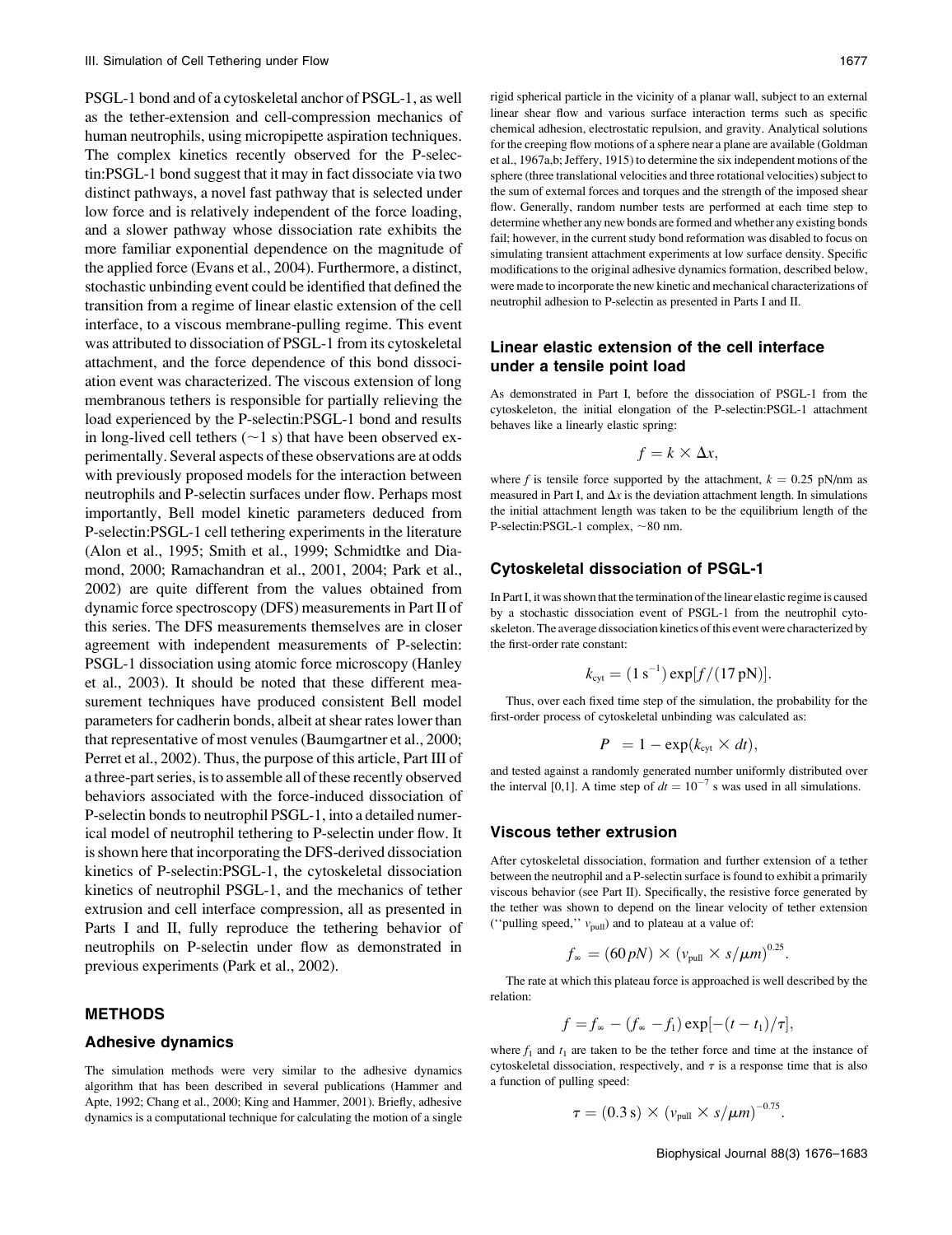PSGL-1 bond and of a cytoskeletal anchor of PSGL-1, as well as the tether-extension and cell-compression mechanics of human neutrophils, using micropipette aspiration techniques. The complex kinetics recently observed for the P-selectin:PSGL-1 bond suggest that it may in fact dissociate via two distinct pathways, a novel fast pathway that is selected under low force and is relatively independent of the force loading, and a slower pathway whose dissociation rate exhibits the more familiar exponential dependence on the magnitude of the applied force (Evans et al., 2004). Furthermore, a distinct, stochastic unbinding event could be identified that defined the transition from a regime of linear elastic extension of the cell interface, to a viscous membrane-pulling regime. This event was attributed to dissociation of PSGL-1 from its cytoskeletal attachment, and the force dependence of this bond dissociation event was characterized. The viscous extension of long membranous tethers is responsible for partially relieving the load experienced by the P-selectin:PSGL-1 bond and results in long-lived cell tethers  $(\sim 1 \text{ s})$  that have been observed experimentally. Several aspects of these observations are at odds with previously proposed models for the interaction between neutrophils and P-selectin surfaces under flow. Perhaps most importantly, Bell model kinetic parameters deduced from P-selectin:PSGL-1 cell tethering experiments in the literature (Alon et al., 1995; Smith et al., 1999; Schmidtke and Diamond, 2000; Ramachandran et al., 2001, 2004; Park et al., 2002) are quite different from the values obtained from dynamic force spectroscopy (DFS) measurements in Part II of this series. The DFS measurements themselves are in closer agreement with independent measurements of P-selectin: PSGL-1 dissociation using atomic force microscopy (Hanley et al., 2003). It should be noted that these different measurement techniques have produced consistent Bell model parameters for cadherin bonds, albeit at shear rates lower than that representative of most venules (Baumgartner et al., 2000; Perret et al., 2002). Thus, the purpose of this article, Part III of a three-part series, is to assemble all of these recently observed behaviors associated with the force-induced dissociation of P-selectin bonds to neutrophil PSGL-1, into a detailed numerical model of neutrophil tethering to P-selectin under flow. It is shown here that incorporating the DFS-derived dissociation kinetics of P-selectin:PSGL-1, the cytoskeletal dissociation kinetics of neutrophil PSGL-1, and the mechanics of tether extrusion and cell interface compression, all as presented in Parts I and II, fully reproduce the tethering behavior of neutrophils on P-selectin under flow as demonstrated in previous experiments (Park et al., 2002).

### **METHODS**

#### Adhesive dynamics

The simulation methods were very similar to the adhesive dynamics algorithm that has been described in several publications (Hammer and Apte, 1992; Chang et al., 2000; King and Hammer, 2001). Briefly, adhesive dynamics is a computational technique for calculating the motion of a single

rigid spherical particle in the vicinity of a planar wall, subject to an external linear shear flow and various surface interaction terms such as specific chemical adhesion, electrostatic repulsion, and gravity. Analytical solutions for the creeping flow motions of a sphere near a plane are available (Goldman et al., 1967a,b; Jeffery, 1915) to determine the six independent motions of the sphere (three translational velocities and three rotational velocities) subject to the sum of external forces and torques and the strength of the imposed shear flow. Generally, random number tests are performed at each time step to determine whether any new bonds are formed and whether any existing bonds fail; however, in the current study bond reformation was disabled to focus on simulating transient attachment experiments at low surface density. Specific modifications to the original adhesive dynamics formation, described below, were made to incorporate the new kinetic and mechanical characterizations of neutrophil adhesion to P-selectin as presented in Parts I and II.

### Linear elastic extension of the cell interface under a tensile point load

As demonstrated in Part I, before the dissociation of PSGL-1 from the cytoskeleton, the initial elongation of the P-selectin:PSGL-1 attachment behaves like a linearly elastic spring:

$$
f = k \times \Delta x,
$$

where f is tensile force supported by the attachment,  $k = 0.25$  pN/nm as measured in Part I, and  $\Delta x$  is the deviation attachment length. In simulations the initial attachment length was taken to be the equilibrium length of the P-selectin: PSGL-1 complex,  $\sim 80$  nm.

### Cytoskeletal dissociation of PSGL-1

In Part I, it was shown that the termination of the linear elastic regime is caused by a stochastic dissociation event of PSGL-1 from the neutrophil cytoskeleton. The average dissociation kinetics of this event were characterized by the first-order rate constant:

$$
k_{\rm{cyt}} = (1 \,\mathrm{s}^{-1}) \exp[f/(17 \,\mathrm{pN})].
$$

Thus, over each fixed time step of the simulation, the probability for the first-order process of cytoskeletal unbinding was calculated as:

$$
P = 1 - \exp(k_{\rm cyt} \times dt),
$$

and tested against a randomly generated number uniformly distributed over the interval [0,1]. A time step of  $dt = 10^{-7}$  s was used in all simulations.

# Viscous tether extrusion

After cytoskeletal dissociation, formation and further extension of a tether between the neutrophil and a P-selectin surface is found to exhibit a primarily viscous behavior (see Part II). Specifically, the resistive force generated by the tether was shown to depend on the linear velocity of tether extension ("pulling speed,"  $v_{\text{pull}}$ ) and to plateau at a value of:

$$
f_{\infty} = (60 \, pN) \times (v_{\text{pull}} \times s/\mu m)^{0.25}.
$$

The rate at which this plateau force is approached is well described by the relation:

$$
f = f_{\infty} - (f_{\infty} - f_1) \exp[-(t - t_1)/\tau],
$$

where  $f_1$  and  $t_1$  are taken to be the tether force and time at the instance of cytoskeletal dissociation, respectively, and  $\tau$  is a response time that is also a function of pulling speed:

$$
\tau = (0.3 \text{ s}) \times (v_{\text{pull}} \times s/\mu m)^{-0.75}.
$$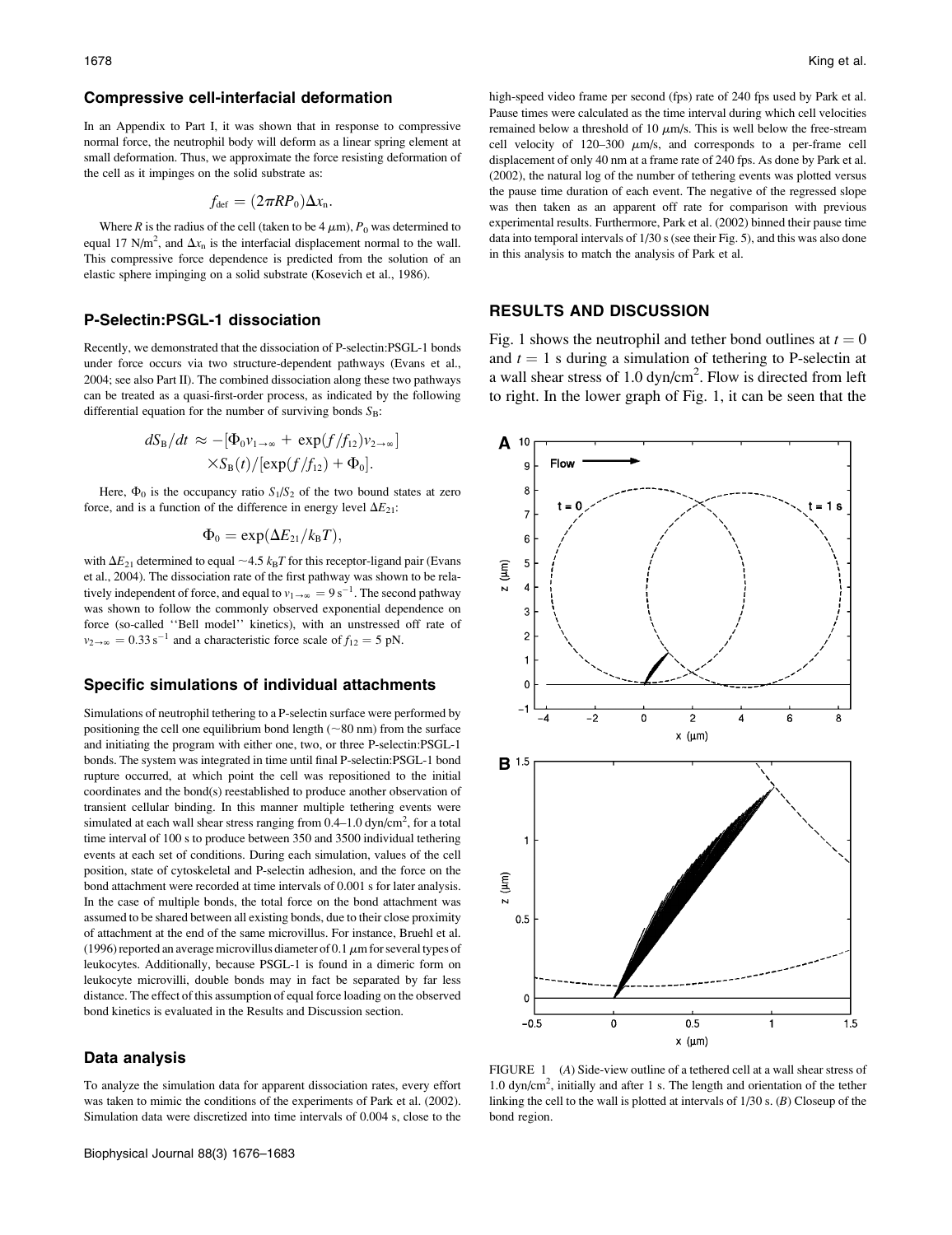#### Compressive cell-interfacial deformation

In an Appendix to Part I, it was shown that in response to compressive normal force, the neutrophil body will deform as a linear spring element at small deformation. Thus, we approximate the force resisting deformation of the cell as it impinges on the solid substrate as:

$$
f_{\text{def}} = (2\pi RP_0)\Delta x_n.
$$

Where R is the radius of the cell (taken to be  $4 \mu m$ ),  $P_0$  was determined to equal 17 N/m<sup>2</sup>, and  $\Delta x_n$  is the interfacial displacement normal to the wall. This compressive force dependence is predicted from the solution of an elastic sphere impinging on a solid substrate (Kosevich et al., 1986).

# P-Selectin:PSGL-1 dissociation

Recently, we demonstrated that the dissociation of P-selectin:PSGL-1 bonds under force occurs via two structure-dependent pathways (Evans et al., 2004; see also Part II). The combined dissociation along these two pathways can be treated as a quasi-first-order process, as indicated by the following differential equation for the number of surviving bonds  $S_B$ :

$$
dS_B/dt \approx -[\Phi_0 v_{1\to\infty} + \exp(f/f_{12})v_{2\to\infty}]
$$
  
 
$$
\times S_B(t) / [\exp(f/f_{12}) + \Phi_0].
$$

Here,  $\Phi_0$  is the occupancy ratio  $S_1/S_2$  of the two bound states at zero force, and is a function of the difference in energy level  $\Delta E_{21}$ :

$$
\Phi_0 = \exp(\Delta E_{21}/k_\text{B}T),
$$

with  $\Delta E_{21}$  determined to equal  $\sim$  4.5  $k_BT$  for this receptor-ligand pair (Evans et al., 2004). The dissociation rate of the first pathway was shown to be relatively independent of force, and equal to  $v_{1\rightarrow\infty} = 9 \,\mathrm{s}^{-1}$ . The second pathway was shown to follow the commonly observed exponential dependence on force (so-called ''Bell model'' kinetics), with an unstressed off rate of  $v_{2\rightarrow\infty} = 0.33 \,\mathrm{s}^{-1}$  and a characteristic force scale of  $f_{12} = 5 \,\mathrm{pN}$ .

#### Specific simulations of individual attachments

Simulations of neutrophil tethering to a P-selectin surface were performed by positioning the cell one equilibrium bond length ( $\sim$ 80 nm) from the surface and initiating the program with either one, two, or three P-selectin:PSGL-1 bonds. The system was integrated in time until final P-selectin:PSGL-1 bond rupture occurred, at which point the cell was repositioned to the initial coordinates and the bond(s) reestablished to produce another observation of transient cellular binding. In this manner multiple tethering events were simulated at each wall shear stress ranging from  $0.4-1.0$  dyn/cm<sup>2</sup>, for a total time interval of 100 s to produce between 350 and 3500 individual tethering events at each set of conditions. During each simulation, values of the cell position, state of cytoskeletal and P-selectin adhesion, and the force on the bond attachment were recorded at time intervals of 0.001 s for later analysis. In the case of multiple bonds, the total force on the bond attachment was assumed to be shared between all existing bonds, due to their close proximity of attachment at the end of the same microvillus. For instance, Bruehl et al. (1996) reported an average microvillus diameter of 0.1  $\mu$ m for several types of leukocytes. Additionally, because PSGL-1 is found in a dimeric form on leukocyte microvilli, double bonds may in fact be separated by far less distance. The effect of this assumption of equal force loading on the observed bond kinetics is evaluated in the Results and Discussion section.

#### Data analysis

To analyze the simulation data for apparent dissociation rates, every effort was taken to mimic the conditions of the experiments of Park et al. (2002). Simulation data were discretized into time intervals of 0.004 s, close to the high-speed video frame per second (fps) rate of 240 fps used by Park et al. Pause times were calculated as the time interval during which cell velocities remained below a threshold of 10  $\mu$ m/s. This is well below the free-stream cell velocity of 120-300  $\mu$ m/s, and corresponds to a per-frame cell displacement of only 40 nm at a frame rate of 240 fps. As done by Park et al. (2002), the natural log of the number of tethering events was plotted versus the pause time duration of each event. The negative of the regressed slope was then taken as an apparent off rate for comparison with previous experimental results. Furthermore, Park et al. (2002) binned their pause time data into temporal intervals of 1/30 s (see their Fig. 5), and this was also done in this analysis to match the analysis of Park et al.

# RESULTS AND DISCUSSION

Fig. 1 shows the neutrophil and tether bond outlines at  $t = 0$ and  $t = 1$  s during a simulation of tethering to P-selectin at a wall shear stress of 1.0 dyn/cm<sup>2</sup>. Flow is directed from left to right. In the lower graph of Fig. 1, it can be seen that the



FIGURE 1 (A) Side-view outline of a tethered cell at a wall shear stress of 1.0 dyn/cm<sup>2</sup>, initially and after 1 s. The length and orientation of the tether linking the cell to the wall is plotted at intervals of 1/30 s. (B) Closeup of the bond region.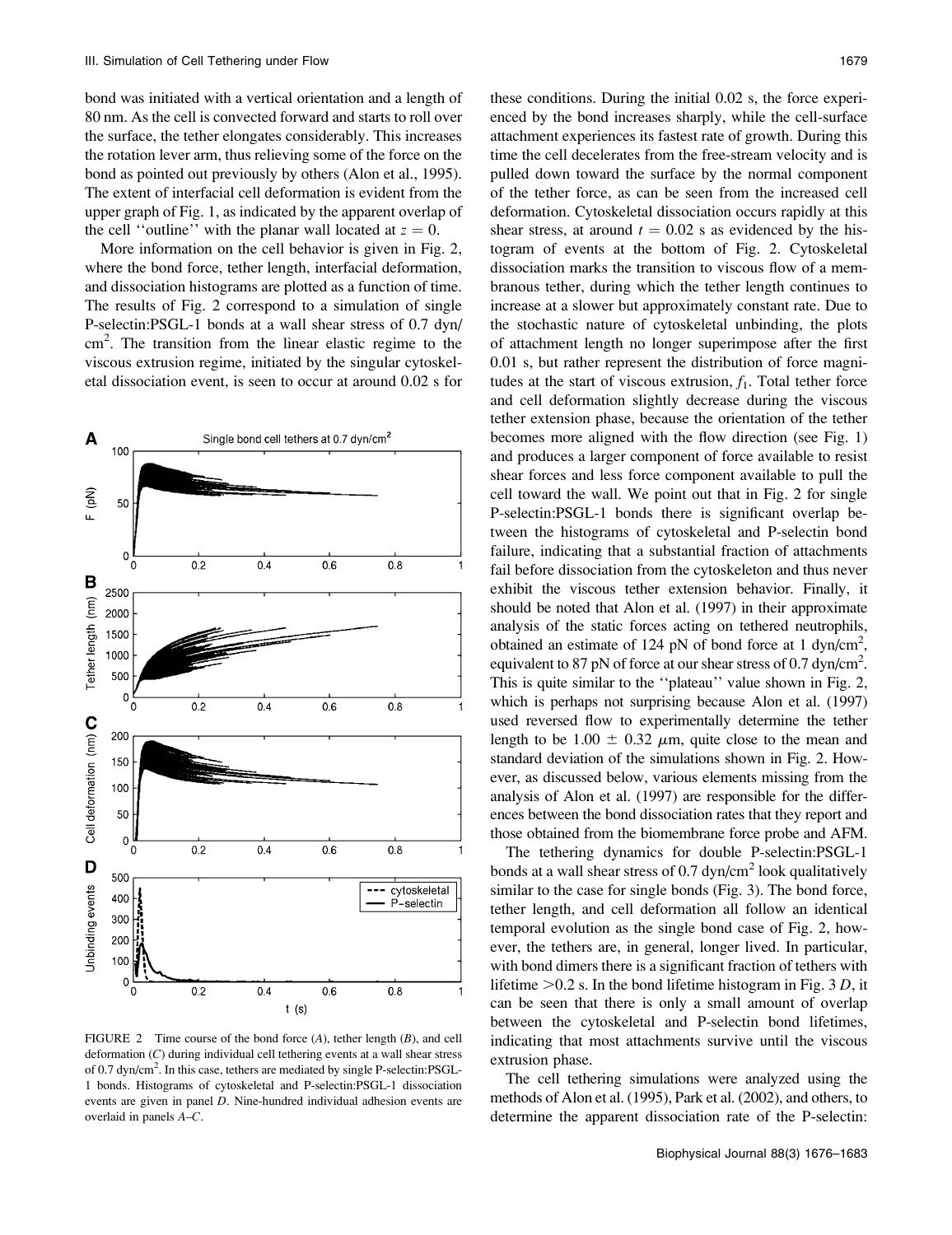bond was initiated with a vertical orientation and a length of 80 nm. As the cell is convected forward and starts to roll over the surface, the tether elongates considerably. This increases the rotation lever arm, thus relieving some of the force on the bond as pointed out previously by others (Alon et al., 1995). The extent of interfacial cell deformation is evident from the upper graph of Fig. 1, as indicated by the apparent overlap of the cell "outline" with the planar wall located at  $z = 0$ .

More information on the cell behavior is given in Fig. 2, where the bond force, tether length, interfacial deformation, and dissociation histograms are plotted as a function of time. The results of Fig. 2 correspond to a simulation of single P-selectin:PSGL-1 bonds at a wall shear stress of 0.7 dyn/ cm<sup>2</sup> . The transition from the linear elastic regime to the viscous extrusion regime, initiated by the singular cytoskeletal dissociation event, is seen to occur at around 0.02 s for



FIGURE 2 Time course of the bond force  $(A)$ , tether length  $(B)$ , and cell deformation (C) during individual cell tethering events at a wall shear stress of 0.7 dyn/cm<sup>2</sup>. In this case, tethers are mediated by single P-selectin:PSGL-1 bonds. Histograms of cytoskeletal and P-selectin:PSGL-1 dissociation events are given in panel D. Nine-hundred individual adhesion events are overlaid in panels A–C.

these conditions. During the initial 0.02 s, the force experienced by the bond increases sharply, while the cell-surface attachment experiences its fastest rate of growth. During this time the cell decelerates from the free-stream velocity and is pulled down toward the surface by the normal component of the tether force, as can be seen from the increased cell deformation. Cytoskeletal dissociation occurs rapidly at this shear stress, at around  $t = 0.02$  s as evidenced by the histogram of events at the bottom of Fig. 2. Cytoskeletal dissociation marks the transition to viscous flow of a membranous tether, during which the tether length continues to increase at a slower but approximately constant rate. Due to the stochastic nature of cytoskeletal unbinding, the plots of attachment length no longer superimpose after the first 0.01 s, but rather represent the distribution of force magnitudes at the start of viscous extrusion,  $f_1$ . Total tether force and cell deformation slightly decrease during the viscous tether extension phase, because the orientation of the tether becomes more aligned with the flow direction (see Fig. 1) and produces a larger component of force available to resist shear forces and less force component available to pull the cell toward the wall. We point out that in Fig. 2 for single P-selectin:PSGL-1 bonds there is significant overlap between the histograms of cytoskeletal and P-selectin bond failure, indicating that a substantial fraction of attachments fail before dissociation from the cytoskeleton and thus never exhibit the viscous tether extension behavior. Finally, it should be noted that Alon et al. (1997) in their approximate analysis of the static forces acting on tethered neutrophils, obtained an estimate of 124 pN of bond force at 1 dyn/cm<sup>2</sup>, equivalent to 87 pN of force at our shear stress of 0.7 dyn/cm<sup>2</sup>. This is quite similar to the ''plateau'' value shown in Fig. 2, which is perhaps not surprising because Alon et al. (1997) used reversed flow to experimentally determine the tether length to be 1.00  $\pm$  0.32  $\mu$ m, quite close to the mean and standard deviation of the simulations shown in Fig. 2. However, as discussed below, various elements missing from the analysis of Alon et al. (1997) are responsible for the differences between the bond dissociation rates that they report and those obtained from the biomembrane force probe and AFM.

The tethering dynamics for double P-selectin:PSGL-1 bonds at a wall shear stress of  $0.7 \text{ dyn/cm}^2$  look qualitatively similar to the case for single bonds (Fig. 3). The bond force, tether length, and cell deformation all follow an identical temporal evolution as the single bond case of Fig. 2, however, the tethers are, in general, longer lived. In particular, with bond dimers there is a significant fraction of tethers with lifetime  $>0.2$  s. In the bond lifetime histogram in Fig. 3 D, it can be seen that there is only a small amount of overlap between the cytoskeletal and P-selectin bond lifetimes, indicating that most attachments survive until the viscous extrusion phase.

The cell tethering simulations were analyzed using the methods of Alon et al. (1995), Park et al. (2002), and others, to determine the apparent dissociation rate of the P-selectin: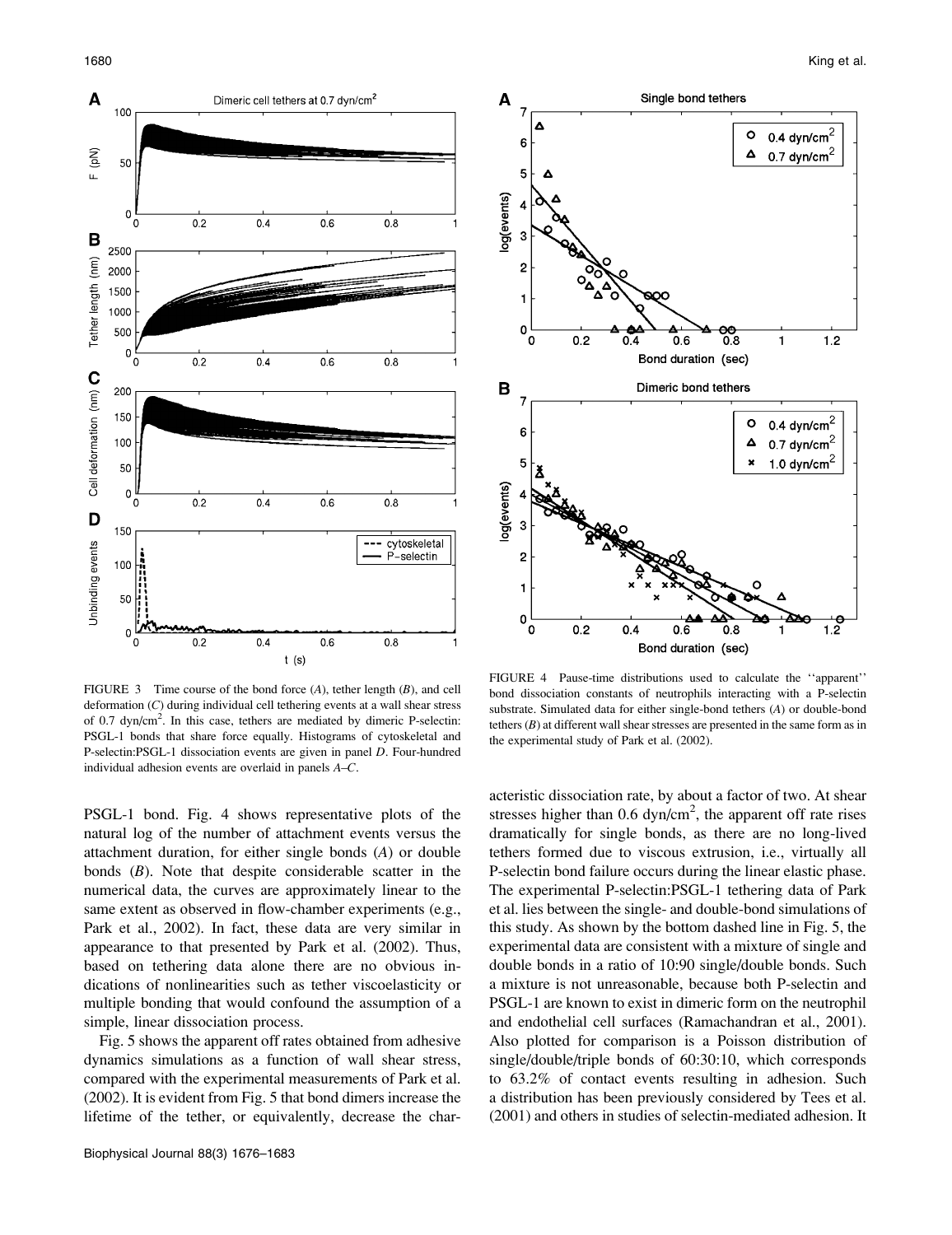

FIGURE 3 Time course of the bond force  $(A)$ , tether length  $(B)$ , and cell deformation (C) during individual cell tethering events at a wall shear stress of 0.7 dyn/cm<sup>2</sup>. In this case, tethers are mediated by dimeric P-selectin: PSGL-1 bonds that share force equally. Histograms of cytoskeletal and P-selectin:PSGL-1 dissociation events are given in panel D. Four-hundred individual adhesion events are overlaid in panels A–C.

PSGL-1 bond. Fig. 4 shows representative plots of the natural log of the number of attachment events versus the attachment duration, for either single bonds (A) or double bonds  $(B)$ . Note that despite considerable scatter in the numerical data, the curves are approximately linear to the same extent as observed in flow-chamber experiments (e.g., Park et al., 2002). In fact, these data are very similar in appearance to that presented by Park et al. (2002). Thus, based on tethering data alone there are no obvious indications of nonlinearities such as tether viscoelasticity or multiple bonding that would confound the assumption of a simple, linear dissociation process.

Fig. 5 shows the apparent off rates obtained from adhesive dynamics simulations as a function of wall shear stress, compared with the experimental measurements of Park et al. (2002). It is evident from Fig. 5 that bond dimers increase the lifetime of the tether, or equivalently, decrease the char-



FIGURE 4 Pause-time distributions used to calculate the ''apparent'' bond dissociation constants of neutrophils interacting with a P-selectin substrate. Simulated data for either single-bond tethers (A) or double-bond tethers  $(B)$  at different wall shear stresses are presented in the same form as in the experimental study of Park et al. (2002).

acteristic dissociation rate, by about a factor of two. At shear stresses higher than  $0.6 \text{ dyn/cm}^2$ , the apparent off rate rises dramatically for single bonds, as there are no long-lived tethers formed due to viscous extrusion, i.e., virtually all P-selectin bond failure occurs during the linear elastic phase. The experimental P-selectin:PSGL-1 tethering data of Park et al. lies between the single- and double-bond simulations of this study. As shown by the bottom dashed line in Fig. 5, the experimental data are consistent with a mixture of single and double bonds in a ratio of 10:90 single/double bonds. Such a mixture is not unreasonable, because both P-selectin and PSGL-1 are known to exist in dimeric form on the neutrophil and endothelial cell surfaces (Ramachandran et al., 2001). Also plotted for comparison is a Poisson distribution of single/double/triple bonds of 60:30:10, which corresponds to 63.2% of contact events resulting in adhesion. Such a distribution has been previously considered by Tees et al. (2001) and others in studies of selectin-mediated adhesion. It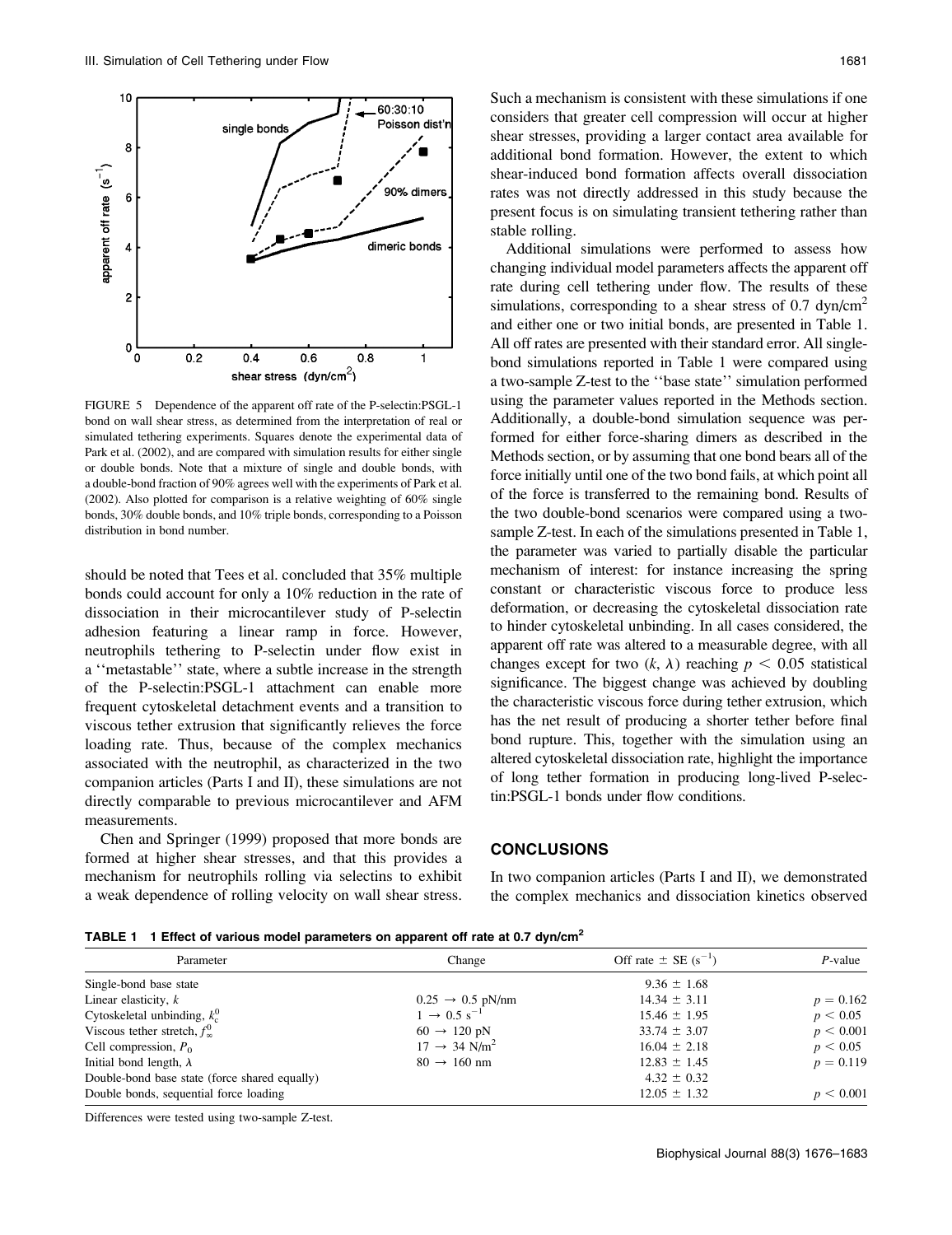

FIGURE 5 Dependence of the apparent off rate of the P-selectin:PSGL-1 bond on wall shear stress, as determined from the interpretation of real or simulated tethering experiments. Squares denote the experimental data of Park et al. (2002), and are compared with simulation results for either single or double bonds. Note that a mixture of single and double bonds, with a double-bond fraction of 90% agrees well with the experiments of Park et al. (2002). Also plotted for comparison is a relative weighting of 60% single bonds, 30% double bonds, and 10% triple bonds, corresponding to a Poisson distribution in bond number.

should be noted that Tees et al. concluded that 35% multiple bonds could account for only a 10% reduction in the rate of dissociation in their microcantilever study of P-selectin adhesion featuring a linear ramp in force. However, neutrophils tethering to P-selectin under flow exist in a ''metastable'' state, where a subtle increase in the strength of the P-selectin:PSGL-1 attachment can enable more frequent cytoskeletal detachment events and a transition to viscous tether extrusion that significantly relieves the force loading rate. Thus, because of the complex mechanics associated with the neutrophil, as characterized in the two companion articles (Parts I and II), these simulations are not directly comparable to previous microcantilever and AFM measurements.

Chen and Springer (1999) proposed that more bonds are formed at higher shear stresses, and that this provides a mechanism for neutrophils rolling via selectins to exhibit a weak dependence of rolling velocity on wall shear stress.

Such a mechanism is consistent with these simulations if one considers that greater cell compression will occur at higher shear stresses, providing a larger contact area available for additional bond formation. However, the extent to which shear-induced bond formation affects overall dissociation rates was not directly addressed in this study because the present focus is on simulating transient tethering rather than stable rolling.

Additional simulations were performed to assess how changing individual model parameters affects the apparent off rate during cell tethering under flow. The results of these simulations, corresponding to a shear stress of  $0.7 \text{ dyn/cm}^2$ and either one or two initial bonds, are presented in Table 1. All off rates are presented with their standard error. All singlebond simulations reported in Table 1 were compared using a two-sample Z-test to the ''base state'' simulation performed using the parameter values reported in the Methods section. Additionally, a double-bond simulation sequence was performed for either force-sharing dimers as described in the Methods section, or by assuming that one bond bears all of the force initially until one of the two bond fails, at which point all of the force is transferred to the remaining bond. Results of the two double-bond scenarios were compared using a twosample Z-test. In each of the simulations presented in Table 1, the parameter was varied to partially disable the particular mechanism of interest: for instance increasing the spring constant or characteristic viscous force to produce less deformation, or decreasing the cytoskeletal dissociation rate to hinder cytoskeletal unbinding. In all cases considered, the apparent off rate was altered to a measurable degree, with all changes except for two  $(k, \lambda)$  reaching  $p < 0.05$  statistical significance. The biggest change was achieved by doubling the characteristic viscous force during tether extrusion, which has the net result of producing a shorter tether before final bond rupture. This, together with the simulation using an altered cytoskeletal dissociation rate, highlight the importance of long tether formation in producing long-lived P-selectin:PSGL-1 bonds under flow conditions.

### **CONCLUSIONS**

In two companion articles (Parts I and II), we demonstrated the complex mechanics and dissociation kinetics observed

TABLE 1 1 Effect of various model parameters on apparent off rate at 0.7 dyn/cm<sup>2</sup>

| Change                               | Off rate $\pm$ SE $(s^{-1})$ | $P$ -value  |
|--------------------------------------|------------------------------|-------------|
|                                      | $9.36 \pm 1.68$              |             |
| $0.25 \rightarrow 0.5 \text{ pN/nm}$ | $14.34 \pm 3.11$             | $p = 0.162$ |
| $1 \rightarrow 0.5$ s <sup>-1</sup>  | $15.46 \pm 1.95$             | p < 0.05    |
| $60 \rightarrow 120 \text{ pN}$      | $33.74 \pm 3.07$             | p < 0.001   |
| $17 \rightarrow 34$ N/m <sup>2</sup> | $16.04 \pm 2.18$             | p < 0.05    |
| $80 \rightarrow 160$ nm              | $12.83 \pm 1.45$             | $p = 0.119$ |
|                                      | $4.32 \pm 0.32$              |             |
|                                      | $12.05 \pm 1.32$             | p < 0.001   |
|                                      |                              |             |

Differences were tested using two-sample Z-test.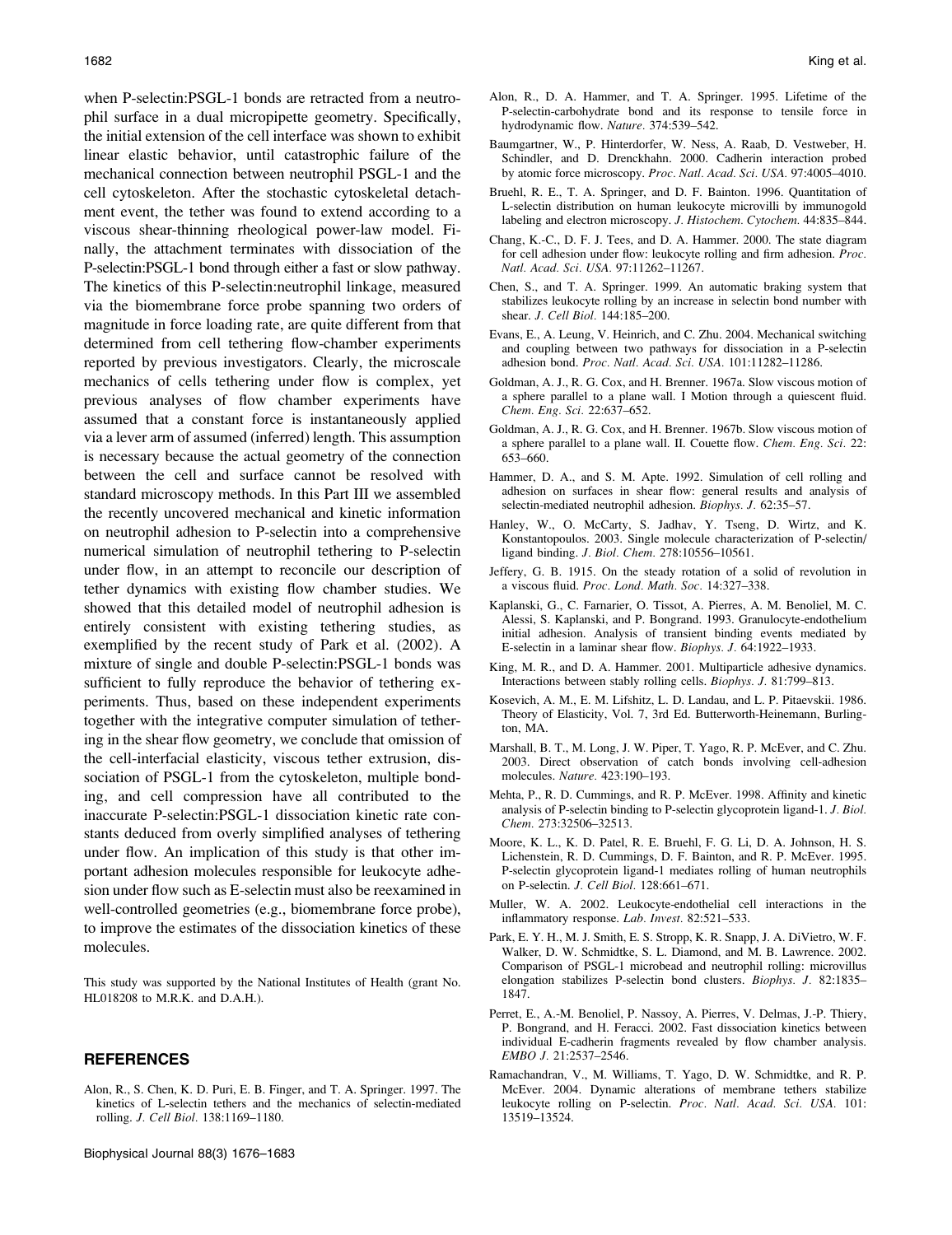when P-selectin:PSGL-1 bonds are retracted from a neutrophil surface in a dual micropipette geometry. Specifically, the initial extension of the cell interface was shown to exhibit linear elastic behavior, until catastrophic failure of the mechanical connection between neutrophil PSGL-1 and the cell cytoskeleton. After the stochastic cytoskeletal detachment event, the tether was found to extend according to a viscous shear-thinning rheological power-law model. Finally, the attachment terminates with dissociation of the P-selectin:PSGL-1 bond through either a fast or slow pathway. The kinetics of this P-selectin:neutrophil linkage, measured via the biomembrane force probe spanning two orders of magnitude in force loading rate, are quite different from that determined from cell tethering flow-chamber experiments reported by previous investigators. Clearly, the microscale mechanics of cells tethering under flow is complex, yet previous analyses of flow chamber experiments have assumed that a constant force is instantaneously applied via a lever arm of assumed (inferred) length. This assumption is necessary because the actual geometry of the connection between the cell and surface cannot be resolved with standard microscopy methods. In this Part III we assembled the recently uncovered mechanical and kinetic information on neutrophil adhesion to P-selectin into a comprehensive numerical simulation of neutrophil tethering to P-selectin under flow, in an attempt to reconcile our description of tether dynamics with existing flow chamber studies. We showed that this detailed model of neutrophil adhesion is entirely consistent with existing tethering studies, as exemplified by the recent study of Park et al. (2002). A mixture of single and double P-selectin:PSGL-1 bonds was sufficient to fully reproduce the behavior of tethering experiments. Thus, based on these independent experiments together with the integrative computer simulation of tethering in the shear flow geometry, we conclude that omission of the cell-interfacial elasticity, viscous tether extrusion, dissociation of PSGL-1 from the cytoskeleton, multiple bonding, and cell compression have all contributed to the inaccurate P-selectin:PSGL-1 dissociation kinetic rate constants deduced from overly simplified analyses of tethering under flow. An implication of this study is that other important adhesion molecules responsible for leukocyte adhesion under flow such as E-selectin must also be reexamined in well-controlled geometries (e.g., biomembrane force probe), to improve the estimates of the dissociation kinetics of these molecules.

This study was supported by the National Institutes of Health (grant No. HL018208 to M.R.K. and D.A.H.).

#### **REFERENCES**

Alon, R., S. Chen, K. D. Puri, E. B. Finger, and T. A. Springer. 1997. The kinetics of L-selectin tethers and the mechanics of selectin-mediated rolling. J. Cell Biol. 138:1169–1180.

- Alon, R., D. A. Hammer, and T. A. Springer. 1995. Lifetime of the P-selectin-carbohydrate bond and its response to tensile force in hydrodynamic flow. Nature. 374:539–542.
- Baumgartner, W., P. Hinterdorfer, W. Ness, A. Raab, D. Vestweber, H. Schindler, and D. Drenckhahn. 2000. Cadherin interaction probed by atomic force microscopy. Proc. Natl. Acad. Sci. USA. 97:4005–4010.
- Bruehl, R. E., T. A. Springer, and D. F. Bainton. 1996. Quantitation of L-selectin distribution on human leukocyte microvilli by immunogold labeling and electron microscopy. J. Histochem. Cytochem. 44:835–844.
- Chang, K.-C., D. F. J. Tees, and D. A. Hammer. 2000. The state diagram for cell adhesion under flow: leukocyte rolling and firm adhesion. Proc. Natl. Acad. Sci. USA. 97:11262–11267.
- Chen, S., and T. A. Springer. 1999. An automatic braking system that stabilizes leukocyte rolling by an increase in selectin bond number with shear. J. Cell Biol. 144:185–200.
- Evans, E., A. Leung, V. Heinrich, and C. Zhu. 2004. Mechanical switching and coupling between two pathways for dissociation in a P-selectin adhesion bond. Proc. Natl. Acad. Sci. USA. 101:11282–11286.
- Goldman, A. J., R. G. Cox, and H. Brenner. 1967a. Slow viscous motion of a sphere parallel to a plane wall. I Motion through a quiescent fluid. Chem. Eng. Sci. 22:637–652.
- Goldman, A. J., R. G. Cox, and H. Brenner. 1967b. Slow viscous motion of a sphere parallel to a plane wall. II. Couette flow. Chem. Eng. Sci. 22: 653–660.
- Hammer, D. A., and S. M. Apte. 1992. Simulation of cell rolling and adhesion on surfaces in shear flow: general results and analysis of selectin-mediated neutrophil adhesion. Biophys. J. 62:35–57.
- Hanley, W., O. McCarty, S. Jadhav, Y. Tseng, D. Wirtz, and K. Konstantopoulos. 2003. Single molecule characterization of P-selectin/ ligand binding. J. Biol. Chem. 278:10556–10561.
- Jeffery, G. B. 1915. On the steady rotation of a solid of revolution in a viscous fluid. Proc. Lond. Math. Soc. 14:327–338.
- Kaplanski, G., C. Farnarier, O. Tissot, A. Pierres, A. M. Benoliel, M. C. Alessi, S. Kaplanski, and P. Bongrand. 1993. Granulocyte-endothelium initial adhesion. Analysis of transient binding events mediated by E-selectin in a laminar shear flow. Biophys. J. 64:1922–1933.
- King, M. R., and D. A. Hammer. 2001. Multiparticle adhesive dynamics. Interactions between stably rolling cells. Biophys. J. 81:799–813.
- Kosevich, A. M., E. M. Lifshitz, L. D. Landau, and L. P. Pitaevskii. 1986. Theory of Elasticity, Vol. 7, 3rd Ed. Butterworth-Heinemann, Burlington, MA.
- Marshall, B. T., M. Long, J. W. Piper, T. Yago, R. P. McEver, and C. Zhu. 2003. Direct observation of catch bonds involving cell-adhesion molecules. Nature. 423:190–193.
- Mehta, P., R. D. Cummings, and R. P. McEver. 1998. Affinity and kinetic analysis of P-selectin binding to P-selectin glycoprotein ligand-1. J. Biol. Chem. 273:32506–32513.
- Moore, K. L., K. D. Patel, R. E. Bruehl, F. G. Li, D. A. Johnson, H. S. Lichenstein, R. D. Cummings, D. F. Bainton, and R. P. McEver. 1995. P-selectin glycoprotein ligand-1 mediates rolling of human neutrophils on P-selectin. J. Cell Biol. 128:661–671.
- Muller, W. A. 2002. Leukocyte-endothelial cell interactions in the inflammatory response. Lab. Invest. 82:521–533.
- Park, E. Y. H., M. J. Smith, E. S. Stropp, K. R. Snapp, J. A. DiVietro, W. F. Walker, D. W. Schmidtke, S. L. Diamond, and M. B. Lawrence. 2002. Comparison of PSGL-1 microbead and neutrophil rolling: microvillus elongation stabilizes P-selectin bond clusters. Biophys. J. 82:1835– 1847.
- Perret, E., A.-M. Benoliel, P. Nassoy, A. Pierres, V. Delmas, J.-P. Thiery, P. Bongrand, and H. Feracci. 2002. Fast dissociation kinetics between individual E-cadherin fragments revealed by flow chamber analysis. EMBO J. 21:2537–2546.
- Ramachandran, V., M. Williams, T. Yago, D. W. Schmidtke, and R. P. McEver. 2004. Dynamic alterations of membrane tethers stabilize leukocyte rolling on P-selectin. Proc. Natl. Acad. Sci. USA. 101: 13519–13524.